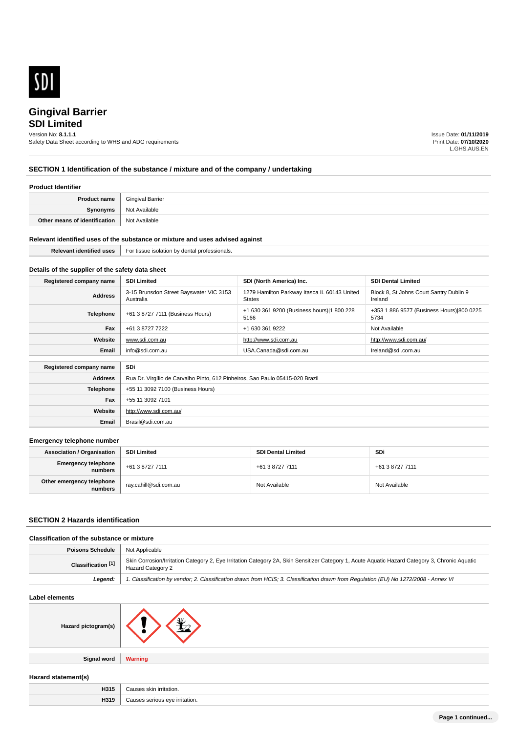

# **SDI Limited**

Version No: **8.1.1.1**

Safety Data Sheet according to WHS and ADG requirements

Issue Date: **01/11/2019** Print Date: **07/10/2020** L.GHS.AUS.EN

# **SECTION 1 Identification of the substance / mixture and of the company / undertaking**

## **Product Identifier**

| <b>Product name</b>           | <b>Gingival Barrier</b> |
|-------------------------------|-------------------------|
| Synonyms                      | Not Available           |
| Other means of identification | <b>Not Available</b>    |

### **Relevant identified uses of the substance or mixture and uses advised against**

**Email** Brasil@sdi.com.au

| ---<br>uses | ssionals<br>-oi<br>~~~~ |
|-------------|-------------------------|
|             |                         |

# **Details of the supplier of the safety data sheet**

| Registered company name | <b>SDI Limited</b>                                                            | SDI (North America) Inc.                                      | <b>SDI Dental Limited</b>                          |
|-------------------------|-------------------------------------------------------------------------------|---------------------------------------------------------------|----------------------------------------------------|
| <b>Address</b>          | 3-15 Brunsdon Street Bayswater VIC 3153<br>Australia                          | 1279 Hamilton Parkway Itasca IL 60143 United<br><b>States</b> | Block 8, St Johns Court Santry Dublin 9<br>Ireland |
| <b>Telephone</b>        | +61 3 8727 7111 (Business Hours)                                              | +1 630 361 9200 (Business hours) 1 800 228<br>5166            | +353 1 886 9577 (Business Hours) 800 0225<br>5734  |
| Fax                     | +61 3 8727 7222                                                               | +1 630 361 9222                                               | Not Available                                      |
| Website                 | www.sdi.com.au                                                                | http://www.sdi.com.au                                         | http://www.sdi.com.au/                             |
| Email                   | info@sdi.com.au                                                               | USA.Canada@sdi.com.au                                         | Ireland@sdi.com.au                                 |
|                         |                                                                               |                                                               |                                                    |
| Registered company name | SDi                                                                           |                                                               |                                                    |
| <b>Address</b>          | Rua Dr. Virgílio de Carvalho Pinto, 612 Pinheiros, Sao Paulo 05415-020 Brazil |                                                               |                                                    |
| <b>Telephone</b>        | +55 11 3092 7100 (Business Hours)                                             |                                                               |                                                    |
| Fax                     | +55 11 3092 7101                                                              |                                                               |                                                    |
| Website                 | http://www.sdi.com.au/                                                        |                                                               |                                                    |

#### **Emergency telephone number**

| <b>Association / Organisation</b>     | <b>SDI Limited</b>    | <b>SDI Dental Limited</b> | SDi             |
|---------------------------------------|-----------------------|---------------------------|-----------------|
| <b>Emergency telephone</b><br>numbers | +61 3 8727 7111       | +61 3 8727 7111           | +61 3 8727 7111 |
| Other emergency telephone<br>numbers  | ray.cahill@sdi.com.au | Not Available             | Not Available   |

# **SECTION 2 Hazards identification**

# **Classification of the substance or mixture**

| Poisons Schedule                                                                                                                                                                                     | Not Applicable                                                                                                                       |  |
|------------------------------------------------------------------------------------------------------------------------------------------------------------------------------------------------------|--------------------------------------------------------------------------------------------------------------------------------------|--|
| Skin Corrosion/Irritation Category 2, Eye Irritation Category 2A, Skin Sensitizer Category 1, Acute Aquatic Hazard Category 3, Chronic Aquatic<br>Classification <sup>[1]</sup><br>Hazard Category 2 |                                                                                                                                      |  |
| Leaend:                                                                                                                                                                                              | 1. Classification by vendor; 2. Classification drawn from HCIS; 3. Classification drawn from Requlation (EU) No 1272/2008 - Annex VI |  |

# **Label elements**

| Hazard pictogram(s) |  |
|---------------------|--|
|                     |  |

**Signal word Warning**

# **Hazard statement(s)**

| H315 | `skin irritation.<br>סמסוור?           |
|------|----------------------------------------|
| H319 | serious eve<br>≅irritation.<br>סמסוור? |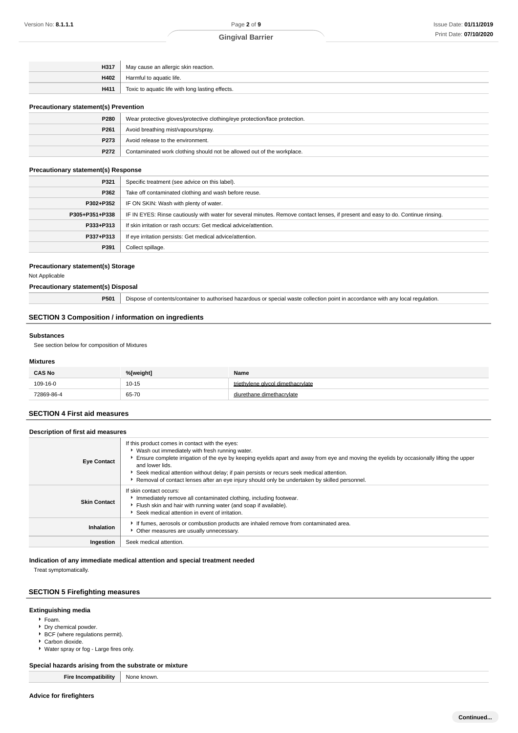| H317 | May cause an allergic skin reaction.             |  |
|------|--------------------------------------------------|--|
| H402 | Harmful to aguatic life.                         |  |
| H411 | Toxic to aquatic life with long lasting effects. |  |

### **Precautionary statement(s) Prevention**

| Wear protective gloves/protective clothing/eye protection/face protection. |  |
|----------------------------------------------------------------------------|--|
| Avoid breathing mist/vapours/spray.                                        |  |
| P273<br>Avoid release to the environment.                                  |  |
| Contaminated work clothing should not be allowed out of the workplace.     |  |
|                                                                            |  |

# **Precautionary statement(s) Response**

| P321           | Specific treatment (see advice on this label).                                                                                   |  |
|----------------|----------------------------------------------------------------------------------------------------------------------------------|--|
| P362           | Take off contaminated clothing and wash before reuse.                                                                            |  |
| P302+P352      | IF ON SKIN: Wash with plenty of water.                                                                                           |  |
| P305+P351+P338 | IF IN EYES: Rinse cautiously with water for several minutes. Remove contact lenses, if present and easy to do. Continue rinsing. |  |
| P333+P313      | If skin irritation or rash occurs: Get medical advice/attention.                                                                 |  |
| P337+P313      | If eye irritation persists: Get medical advice/attention.                                                                        |  |
| P391           | Collect spillage.                                                                                                                |  |

### **Precautionary statement(s) Storage**

Not Applicable

# **Precautionary statement(s) Disposal**

| P501 | Dispose of contents/container to authorised hazardous or special waste collection point in accordance with any local regulation. |  |
|------|----------------------------------------------------------------------------------------------------------------------------------|--|
|      |                                                                                                                                  |  |

# **SECTION 3 Composition / information on ingredients**

#### **Substances**

See section below for composition of Mixtures

### **Mixtures**

| <b>CAS No</b> | %[weight] | Name                              |
|---------------|-----------|-----------------------------------|
| 109-16-0      | $10 - 15$ | triethylene glycol dimethacrylate |
| 72869-86-4    | 65-70     | diurethane dimethacrylate         |

# **SECTION 4 First aid measures**

| Description of first aid measures                                                                                                                                                                                                                                                                                                                                                                                                                                                      |                                                                                                                                                                                                                   |  |  |  |
|----------------------------------------------------------------------------------------------------------------------------------------------------------------------------------------------------------------------------------------------------------------------------------------------------------------------------------------------------------------------------------------------------------------------------------------------------------------------------------------|-------------------------------------------------------------------------------------------------------------------------------------------------------------------------------------------------------------------|--|--|--|
| If this product comes in contact with the eyes:<br>▶ Wash out immediately with fresh running water.<br>Ensure complete irrigation of the eye by keeping eyelids apart and away from eye and moving the eyelids by occasionally lifting the upper<br><b>Eye Contact</b><br>and lower lids.<br>Seek medical attention without delay; if pain persists or recurs seek medical attention.<br>Removal of contact lenses after an eye injury should only be undertaken by skilled personnel. |                                                                                                                                                                                                                   |  |  |  |
| <b>Skin Contact</b>                                                                                                                                                                                                                                                                                                                                                                                                                                                                    | If skin contact occurs:<br>Immediately remove all contaminated clothing, including footwear.<br>Flush skin and hair with running water (and soap if available).<br>Seek medical attention in event of irritation. |  |  |  |
| Inhalation                                                                                                                                                                                                                                                                                                                                                                                                                                                                             | If fumes, aerosols or combustion products are inhaled remove from contaminated area.<br>Other measures are usually unnecessary.                                                                                   |  |  |  |
| Ingestion                                                                                                                                                                                                                                                                                                                                                                                                                                                                              | Seek medical attention.                                                                                                                                                                                           |  |  |  |

# **Indication of any immediate medical attention and special treatment needed**

Treat symptomatically.

# **SECTION 5 Firefighting measures**

# **Extinguishing media**

- Foam.
- Dry chemical powder.
- **BCF** (where regulations permit).
- Carbon dioxide.
- Water spray or fog Large fires only.

# **Special hazards arising from the substrate or mixture**

**Fire Incompatibility** None known.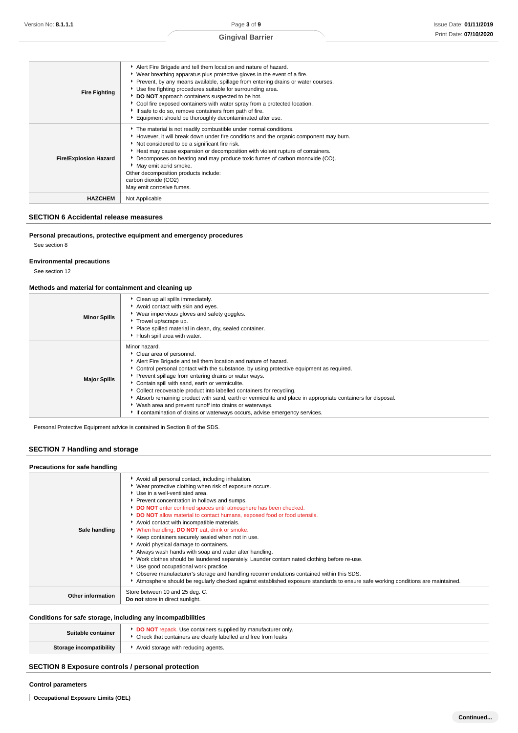| <b>Fire Fighting</b>         | Alert Fire Brigade and tell them location and nature of hazard.<br>▶ Wear breathing apparatus plus protective gloves in the event of a fire.<br>Prevent, by any means available, spillage from entering drains or water courses.<br>Use fire fighting procedures suitable for surrounding area.<br>DO NOT approach containers suspected to be hot.<br>Cool fire exposed containers with water spray from a protected location.<br>If safe to do so, remove containers from path of fire.<br>Equipment should be thoroughly decontaminated after use. |
|------------------------------|------------------------------------------------------------------------------------------------------------------------------------------------------------------------------------------------------------------------------------------------------------------------------------------------------------------------------------------------------------------------------------------------------------------------------------------------------------------------------------------------------------------------------------------------------|
| <b>Fire/Explosion Hazard</b> | The material is not readily combustible under normal conditions.<br>► However, it will break down under fire conditions and the organic component may burn.<br>Not considered to be a significant fire risk.<br>Heat may cause expansion or decomposition with violent rupture of containers.<br>► Decomposes on heating and may produce toxic fumes of carbon monoxide (CO).<br>May emit acrid smoke.<br>Other decomposition products include:<br>carbon dioxide (CO2)<br>May emit corrosive fumes.                                                 |
| <b>HAZCHEM</b>               | Not Applicable                                                                                                                                                                                                                                                                                                                                                                                                                                                                                                                                       |

# **SECTION 6 Accidental release measures**

### **Personal precautions, protective equipment and emergency procedures**

See section 8

# **Environmental precautions**

See section 12

### **Methods and material for containment and cleaning up**

| <b>Minor Spills</b> | • Clean up all spills immediately.<br>Avoid contact with skin and eyes.<br>Wear impervious gloves and safety goggles.<br>Trowel up/scrape up.<br>Place spilled material in clean, dry, sealed container.<br>Flush spill area with water.                                                                                                                                                                                                                                                                                                                                                                                                         |
|---------------------|--------------------------------------------------------------------------------------------------------------------------------------------------------------------------------------------------------------------------------------------------------------------------------------------------------------------------------------------------------------------------------------------------------------------------------------------------------------------------------------------------------------------------------------------------------------------------------------------------------------------------------------------------|
| <b>Major Spills</b> | Minor hazard.<br>Clear area of personnel.<br>Alert Fire Brigade and tell them location and nature of hazard.<br>► Control personal contact with the substance, by using protective equipment as required.<br>Prevent spillage from entering drains or water ways.<br>Contain spill with sand, earth or vermiculite.<br>Collect recoverable product into labelled containers for recycling.<br>Absorb remaining product with sand, earth or vermiculite and place in appropriate containers for disposal.<br>Wash area and prevent runoff into drains or waterways.<br>If contamination of drains or waterways occurs, advise emergency services. |

Personal Protective Equipment advice is contained in Section 8 of the SDS.

# **SECTION 7 Handling and storage**

#### **Precautions for safe handling Safe handling** Avoid all personal contact, including inhalation. Wear protective clothing when risk of exposure occurs. Use in a well-ventilated area. **P** Prevent concentration in hollows and sumps. **DO NOT** enter confined spaces until atmosphere has been checked. **DO NOT** allow material to contact humans, exposed food or food utensils. Avoid contact with incompatible materials. When handling, **DO NOT** eat, drink or smoke.  $\blacktriangleright$  Keep containers securely sealed when not in use. Avoid physical damage to containers. Always wash hands with soap and water after handling. Work clothes should be laundered separately. Launder contaminated clothing before re-use. Use good occupational work practice. Observe manufacturer's storage and handling recommendations contained within this SDS. Atmosphere should be regularly checked against established exposure standards to ensure safe working conditions are maintained.

### **Conditions for safe storage, including any incompatibilities**

**Other information** Store between 10 and 25 deg. C.

**Do not** store in direct sunlight.

| <b>DO NOT</b> repack. Use containers supplied by manufacturer only.<br>Suitable container<br>Check that containers are clearly labelled and free from leaks |                                     |
|-------------------------------------------------------------------------------------------------------------------------------------------------------------|-------------------------------------|
| Storage incompatibility                                                                                                                                     | Avoid storage with reducing agents. |

# **SECTION 8 Exposure controls / personal protection**

#### **Control parameters**

**Occupational Exposure Limits (OEL)**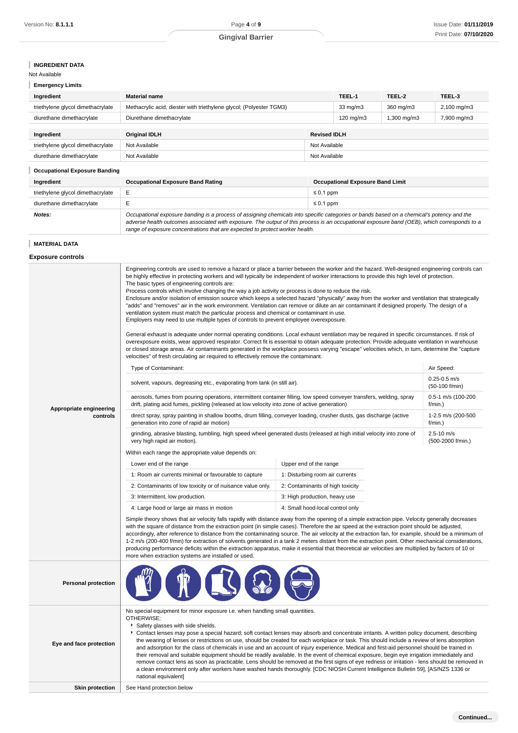# **INGREDIENT DATA**

Not Available

| <b>Emergency Limits</b>                                                                           |                                                                     |  |                    |             |             |
|---------------------------------------------------------------------------------------------------|---------------------------------------------------------------------|--|--------------------|-------------|-------------|
| Ingredient                                                                                        | <b>Material name</b>                                                |  | TEEL-1             | TEEL-2      | TEEL-3      |
| triethylene glycol dimethacrylate                                                                 | Methacrylic acid, diester with triethylene glycol; (Polyester TGM3) |  | 33 mg/m3           | 360 mg/m3   | 2,100 mg/m3 |
| diurethane dimethacrylate                                                                         | Diurethane dimethacrylate                                           |  | $120 \text{ mg/m}$ | 1,300 mg/m3 | 7,900 mg/m3 |
|                                                                                                   |                                                                     |  |                    |             |             |
| Ingredient                                                                                        | <b>Revised IDLH</b><br><b>Original IDLH</b>                         |  |                    |             |             |
| triethylene glycol dimethacrylate                                                                 | Not Available<br>Not Available                                      |  |                    |             |             |
| diurethane dimethacrylate                                                                         | Not Available<br>Not Available                                      |  |                    |             |             |
| <b>Occupational Exposure Banding</b>                                                              |                                                                     |  |                    |             |             |
| <b>Occupational Exposure Band Limit</b><br><b>Occupational Exposure Band Rating</b><br>Ingredient |                                                                     |  |                    |             |             |

| triethylene glycol dimethacrylate |                                                                                                                                                                                                                                                                                                                                                                          | $\leq 0.1$ ppm |  |
|-----------------------------------|--------------------------------------------------------------------------------------------------------------------------------------------------------------------------------------------------------------------------------------------------------------------------------------------------------------------------------------------------------------------------|----------------|--|
| diurethane dimethacrylate         |                                                                                                                                                                                                                                                                                                                                                                          | $\leq 0.1$ ppm |  |
| Notes:                            | Occupational exposure banding is a process of assigning chemicals into specific categories or bands based on a chemical's potency and the<br>adverse health outcomes associated with exposure. The output of this process is an occupational exposure band (OEB), which corresponds to a<br>range of exposure concentrations that are expected to protect worker health. |                |  |

# **MATERIAL DATA**

**Exposure controls**

| Appropriate engineering<br>controls | be highly effective in protecting workers and will typically be independent of worker interactions to provide this high level of protection.<br>The basic types of engineering controls are:<br>Process controls which involve changing the way a job activity or process is done to reduce the risk.<br>Enclosure and/or isolation of emission source which keeps a selected hazard "physically" away from the worker and ventilation that strategically<br>"adds" and "removes" air in the work environment. Ventilation can remove or dilute an air contaminant if designed properly. The design of a<br>ventilation system must match the particular process and chemical or contaminant in use.<br>Employers may need to use multiple types of controls to prevent employee overexposure.<br>General exhaust is adequate under normal operating conditions. Local exhaust ventilation may be required in specific circumstances. If risk of<br>overexposure exists, wear approved respirator. Correct fit is essential to obtain adequate protection. Provide adequate ventilation in warehouse<br>or closed storage areas. Air contaminants generated in the workplace possess varying "escape" velocities which, in turn, determine the "capture<br>velocities" of fresh circulating air required to effectively remove the contaminant.<br>Type of Contaminant:<br>Air Speed:<br>$0.25 - 0.5$ m/s<br>solvent, vapours, degreasing etc., evaporating from tank (in still air).<br>aerosols, fumes from pouring operations, intermittent container filling, low speed conveyer transfers, welding, spray<br>drift, plating acid fumes, pickling (released at low velocity into zone of active generation)<br>$f/min.$ )<br>direct spray, spray painting in shallow booths, drum filling, conveyer loading, crusher dusts, gas discharge (active<br>generation into zone of rapid air motion)<br>f/min.)<br>grinding, abrasive blasting, tumbling, high speed wheel generated dusts (released at high initial velocity into zone of<br>$2.5 - 10$ m/s<br>very high rapid air motion).<br>Within each range the appropriate value depends on:<br>Lower end of the range<br>Upper end of the range<br>1: Room air currents minimal or favourable to capture<br>1: Disturbing room air currents<br>2: Contaminants of low toxicity or of nuisance value only.<br>2: Contaminants of high toxicity<br>3: Intermittent, low production.<br>3: High production, heavy use<br>4: Small hood-local control only<br>4: Large hood or large air mass in motion<br>Simple theory shows that air velocity falls rapidly with distance away from the opening of a simple extraction pipe. Velocity generally decreases<br>with the square of distance from the extraction point (in simple cases). Therefore the air speed at the extraction point should be adjusted, |  | Engineering controls are used to remove a hazard or place a barrier between the worker and the hazard. Well-designed engineering controls can<br>(50-100 f/min)<br>0.5-1 m/s (100-200<br>1-2.5 m/s (200-500<br>(500-2000 f/min.) |  |
|-------------------------------------|----------------------------------------------------------------------------------------------------------------------------------------------------------------------------------------------------------------------------------------------------------------------------------------------------------------------------------------------------------------------------------------------------------------------------------------------------------------------------------------------------------------------------------------------------------------------------------------------------------------------------------------------------------------------------------------------------------------------------------------------------------------------------------------------------------------------------------------------------------------------------------------------------------------------------------------------------------------------------------------------------------------------------------------------------------------------------------------------------------------------------------------------------------------------------------------------------------------------------------------------------------------------------------------------------------------------------------------------------------------------------------------------------------------------------------------------------------------------------------------------------------------------------------------------------------------------------------------------------------------------------------------------------------------------------------------------------------------------------------------------------------------------------------------------------------------------------------------------------------------------------------------------------------------------------------------------------------------------------------------------------------------------------------------------------------------------------------------------------------------------------------------------------------------------------------------------------------------------------------------------------------------------------------------------------------------------------------------------------------------------------------------------------------------------------------------------------------------------------------------------------------------------------------------------------------------------------------------------------------------------------------------------------------------------------------------------------------------------------------------------------------------------------------------------------------------------------------------------------------------|--|----------------------------------------------------------------------------------------------------------------------------------------------------------------------------------------------------------------------------------|--|
|                                     | accordingly, after reference to distance from the contaminating source. The air velocity at the extraction fan, for example, should be a minimum of<br>1-2 m/s (200-400 f/min) for extraction of solvents generated in a tank 2 meters distant from the extraction point. Other mechanical considerations,<br>producing performance deficits within the extraction apparatus, make it essential that theoretical air velocities are multiplied by factors of 10 or<br>more when extraction systems are installed or used.                                                                                                                                                                                                                                                                                                                                                                                                                                                                                                                                                                                                                                                                                                                                                                                                                                                                                                                                                                                                                                                                                                                                                                                                                                                                                                                                                                                                                                                                                                                                                                                                                                                                                                                                                                                                                                                                                                                                                                                                                                                                                                                                                                                                                                                                                                                                      |  |                                                                                                                                                                                                                                  |  |
| <b>Personal protection</b>          |                                                                                                                                                                                                                                                                                                                                                                                                                                                                                                                                                                                                                                                                                                                                                                                                                                                                                                                                                                                                                                                                                                                                                                                                                                                                                                                                                                                                                                                                                                                                                                                                                                                                                                                                                                                                                                                                                                                                                                                                                                                                                                                                                                                                                                                                                                                                                                                                                                                                                                                                                                                                                                                                                                                                                                                                                                                                |  |                                                                                                                                                                                                                                  |  |
| Eye and face protection             | No special equipment for minor exposure i.e. when handling small quantities.<br>OTHERWISE:<br>Safety glasses with side shields.<br>Contact lenses may pose a special hazard; soft contact lenses may absorb and concentrate irritants. A written policy document, describing<br>the wearing of lenses or restrictions on use, should be created for each workplace or task. This should include a review of lens absorption<br>and adsorption for the class of chemicals in use and an account of injury experience. Medical and first-aid personnel should be trained in<br>their removal and suitable equipment should be readily available. In the event of chemical exposure, begin eye irrigation immediately and<br>remove contact lens as soon as practicable. Lens should be removed at the first signs of eye redness or irritation - lens should be removed in<br>a clean environment only after workers have washed hands thoroughly. [CDC NIOSH Current Intelligence Bulletin 59], [AS/NZS 1336 or<br>national equivalent]                                                                                                                                                                                                                                                                                                                                                                                                                                                                                                                                                                                                                                                                                                                                                                                                                                                                                                                                                                                                                                                                                                                                                                                                                                                                                                                                                                                                                                                                                                                                                                                                                                                                                                                                                                                                                         |  |                                                                                                                                                                                                                                  |  |
| <b>Skin protection</b>              | See Hand protection below                                                                                                                                                                                                                                                                                                                                                                                                                                                                                                                                                                                                                                                                                                                                                                                                                                                                                                                                                                                                                                                                                                                                                                                                                                                                                                                                                                                                                                                                                                                                                                                                                                                                                                                                                                                                                                                                                                                                                                                                                                                                                                                                                                                                                                                                                                                                                                                                                                                                                                                                                                                                                                                                                                                                                                                                                                      |  |                                                                                                                                                                                                                                  |  |
|                                     |                                                                                                                                                                                                                                                                                                                                                                                                                                                                                                                                                                                                                                                                                                                                                                                                                                                                                                                                                                                                                                                                                                                                                                                                                                                                                                                                                                                                                                                                                                                                                                                                                                                                                                                                                                                                                                                                                                                                                                                                                                                                                                                                                                                                                                                                                                                                                                                                                                                                                                                                                                                                                                                                                                                                                                                                                                                                |  |                                                                                                                                                                                                                                  |  |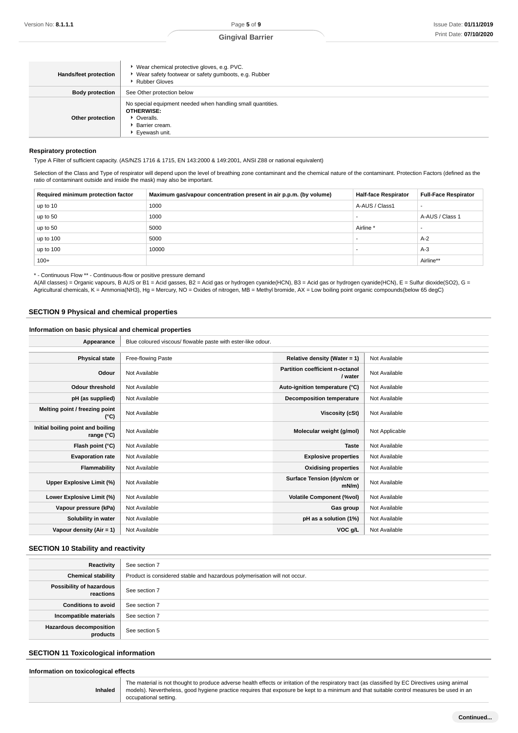| Hands/feet protection                                                                                                                                    | ▶ Wear chemical protective gloves, e.g. PVC.<br>▶ Wear safety footwear or safety gumboots, e.g. Rubber<br>▶ Rubber Gloves |  |
|----------------------------------------------------------------------------------------------------------------------------------------------------------|---------------------------------------------------------------------------------------------------------------------------|--|
| <b>Body protection</b>                                                                                                                                   | See Other protection below                                                                                                |  |
| No special equipment needed when handling small quantities.<br><b>OTHERWISE:</b><br>Other protection<br>• Overalls.<br>▶ Barrier cream.<br>Eyewash unit. |                                                                                                                           |  |

#### **Respiratory protection**

Type A Filter of sufficient capacity. (AS/NZS 1716 & 1715, EN 143:2000 & 149:2001, ANSI Z88 or national equivalent)

Selection of the Class and Type of respirator will depend upon the level of breathing zone contaminant and the chemical nature of the contaminant. Protection Factors (defined as the ratio of contaminant outside and inside the mask) may also be important.

| Required minimum protection factor | Maximum gas/vapour concentration present in air p.p.m. (by volume) | <b>Half-face Respirator</b> | <b>Full-Face Respirator</b> |
|------------------------------------|--------------------------------------------------------------------|-----------------------------|-----------------------------|
| up to 10                           | 1000                                                               | A-AUS / Class1              |                             |
| up to 50                           | 1000                                                               |                             | A-AUS / Class 1             |
| up to 50                           | 5000                                                               | Airline                     | -                           |
| up to 100                          | 5000                                                               |                             | $A-2$                       |
| up to 100                          | 10000                                                              |                             | $A-3$                       |
| $100+$                             |                                                                    |                             | Airline**                   |

\* - Continuous Flow \*\* - Continuous-flow or positive pressure demand

A(All classes) = Organic vapours, B AUS or B1 = Acid gasses, B2 = Acid gas or hydrogen cyanide(HCN), B3 = Acid gas or hydrogen cyanide(HCN), E = Sulfur dioxide(SO2), G = Agricultural chemicals, K = Ammonia(NH3), Hg = Mercury, NO = Oxides of nitrogen, MB = Methyl bromide, AX = Low boiling point organic compounds(below 65 degC)

# **SECTION 9 Physical and chemical properties**

# **Information on basic physical and chemical properties**

| Appearance                                      | Blue coloured viscous/ flowable paste with ester-like odour. |                                                   |                |  |
|-------------------------------------------------|--------------------------------------------------------------|---------------------------------------------------|----------------|--|
|                                                 |                                                              |                                                   |                |  |
| <b>Physical state</b>                           | Free-flowing Paste                                           | Relative density (Water = $1$ )                   | Not Available  |  |
| Odour                                           | Not Available                                                | <b>Partition coefficient n-octanol</b><br>/ water | Not Available  |  |
| <b>Odour threshold</b>                          | Not Available                                                | Auto-ignition temperature (°C)                    | Not Available  |  |
| pH (as supplied)                                | Not Available                                                | <b>Decomposition temperature</b>                  | Not Available  |  |
| Melting point / freezing point<br>(°C)          | Not Available                                                | Viscosity (cSt)                                   | Not Available  |  |
| Initial boiling point and boiling<br>range (°C) | Not Available                                                | Molecular weight (g/mol)                          | Not Applicable |  |
| Flash point (°C)                                | Not Available                                                | <b>Taste</b>                                      | Not Available  |  |
| <b>Evaporation rate</b>                         | Not Available                                                | <b>Explosive properties</b>                       | Not Available  |  |
| Flammability                                    | Not Available                                                | <b>Oxidising properties</b>                       | Not Available  |  |
| Upper Explosive Limit (%)                       | Not Available                                                | Surface Tension (dyn/cm or<br>$mN/m$ )            | Not Available  |  |
| Lower Explosive Limit (%)                       | Not Available                                                | <b>Volatile Component (%vol)</b>                  | Not Available  |  |
| Vapour pressure (kPa)                           | Not Available                                                | Gas group                                         | Not Available  |  |
| Solubility in water                             | Not Available                                                | pH as a solution (1%)                             | Not Available  |  |
| Vapour density (Air = 1)                        | Not Available                                                | VOC g/L                                           | Not Available  |  |

# **SECTION 10 Stability and reactivity**

| Reactivity                                 | See section 7                                                             |  |
|--------------------------------------------|---------------------------------------------------------------------------|--|
| <b>Chemical stability</b>                  | Product is considered stable and hazardous polymerisation will not occur. |  |
| Possibility of hazardous<br>reactions      | See section 7                                                             |  |
| <b>Conditions to avoid</b>                 | See section 7                                                             |  |
| Incompatible materials                     | See section 7                                                             |  |
| <b>Hazardous decomposition</b><br>products | See section 5                                                             |  |

# **SECTION 11 Toxicological information**

|  | Information on toxicological effects |  |
|--|--------------------------------------|--|
|  |                                      |  |

**Inhaled**

The material is not thought to produce adverse health effects or irritation of the respiratory tract (as classified by EC Directives using animal models). Nevertheless, good hygiene practice requires that exposure be kept to a minimum and that suitable control measures be used in an occupational setting.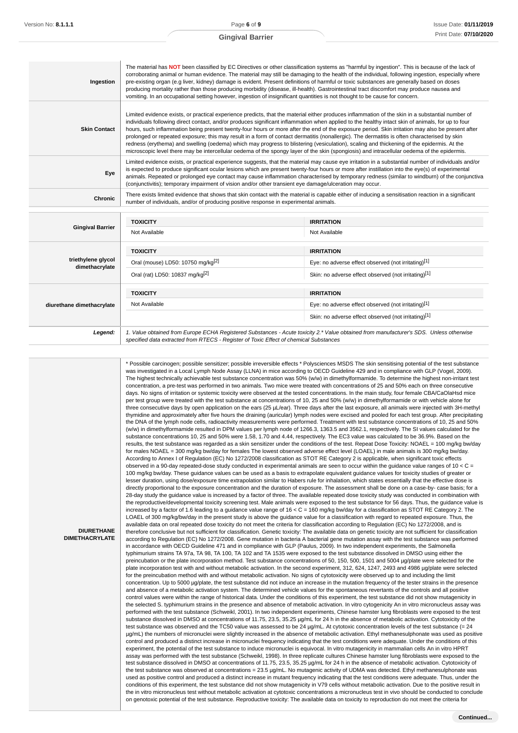| Ingestion           | The material has NOT been classified by EC Directives or other classification systems as "harmful by ingestion". This is because of the lack of<br>corroborating animal or human evidence. The material may still be damaging to the health of the individual, following ingestion, especially where<br>pre-existing organ (e.g liver, kidney) damage is evident. Present definitions of harmful or toxic substances are generally based on doses<br>producing mortality rather than those producing morbidity (disease, ill-health). Gastrointestinal tract discomfort may produce nausea and<br>vomiting. In an occupational setting however, ingestion of insignificant quantities is not thought to be cause for concern.                                                                                                                                                                         |
|---------------------|-------------------------------------------------------------------------------------------------------------------------------------------------------------------------------------------------------------------------------------------------------------------------------------------------------------------------------------------------------------------------------------------------------------------------------------------------------------------------------------------------------------------------------------------------------------------------------------------------------------------------------------------------------------------------------------------------------------------------------------------------------------------------------------------------------------------------------------------------------------------------------------------------------|
| <b>Skin Contact</b> | Limited evidence exists, or practical experience predicts, that the material either produces inflammation of the skin in a substantial number of<br>individuals following direct contact, and/or produces significant inflammation when applied to the healthy intact skin of animals, for up to four<br>hours, such inflammation being present twenty-four hours or more after the end of the exposure period. Skin irritation may also be present after<br>prolonged or repeated exposure; this may result in a form of contact dermatitis (nonallergic). The dermatitis is often characterised by skin<br>redness (erythema) and swelling (oedema) which may progress to blistering (vesiculation), scaling and thickening of the epidermis. At the<br>microscopic level there may be intercellular oedema of the spongy layer of the skin (spongiosis) and intracellular oedema of the epidermis. |
| Eye                 | Limited evidence exists, or practical experience suggests, that the material may cause eye irritation in a substantial number of individuals and/or<br>is expected to produce significant ocular lesions which are present twenty-four hours or more after instillation into the eye(s) of experimental<br>animals. Repeated or prolonged eye contact may cause inflammation characterised by temporary redness (similar to windburn) of the conjunctiva<br>(conjunctivitis); temporary impairment of vision and/or other transient eye damage/ulceration may occur.                                                                                                                                                                                                                                                                                                                                  |
| <b>Chronic</b>      | There exists limited evidence that shows that skin contact with the material is capable either of inducing a sensitisation reaction in a significant<br>number of individuals, and/or of producing positive response in experimental animals.                                                                                                                                                                                                                                                                                                                                                                                                                                                                                                                                                                                                                                                         |
|                     |                                                                                                                                                                                                                                                                                                                                                                                                                                                                                                                                                                                                                                                                                                                                                                                                                                                                                                       |

| <b>Gingival Barrier</b>              | <b>TOXICITY</b>                                                                                                                                                                                                                 | <b>IRRITATION</b>                                    |
|--------------------------------------|---------------------------------------------------------------------------------------------------------------------------------------------------------------------------------------------------------------------------------|------------------------------------------------------|
|                                      | Not Available                                                                                                                                                                                                                   | Not Available                                        |
|                                      | <b>TOXICITY</b>                                                                                                                                                                                                                 | <b>IRRITATION</b>                                    |
| triethylene glycol<br>dimethacrylate | Oral (mouse) LD50: 10750 mg/kg <sup>[2]</sup>                                                                                                                                                                                   | Eye: no adverse effect observed (not irritating)[1]  |
|                                      | Oral (rat) LD50: 10837 mg/kg <sup>[2]</sup>                                                                                                                                                                                     | Skin: no adverse effect observed (not irritating)[1] |
| diurethane dimethacrylate            | <b>TOXICITY</b>                                                                                                                                                                                                                 | <b>IRRITATION</b>                                    |
|                                      | Not Available                                                                                                                                                                                                                   | Eye: no adverse effect observed (not irritating)[1]  |
|                                      |                                                                                                                                                                                                                                 | Skin: no adverse effect observed (not irritating)[1] |
| Legend:                              | 1. Value obtained from Europe ECHA Registered Substances - Acute toxicity 2.* Value obtained from manufacturer's SDS. Unless otherwise<br>specified data extracted from RTECS - Register of Toxic Effect of chemical Substances |                                                      |

\* Possible carcinogen; possible sensitizer; possible irreversible effects \* Polysciences MSDS The skin sensitising potential of the test substance was investigated in a Local Lymph Node Assay (LLNA) in mice according to OECD Guideline 429 and in compliance with GLP (Vogel, 2009). The highest technically achievable test substance concentration was 50% (w/w) in dimethylformamide. To determine the highest non-irritant test concentration, a pre-test was performed in two animals. Two mice were treated with concentrations of 25 and 50% each on three consecutive days. No signs of irritation or systemic toxicity were observed at the tested concentrations. In the main study, four female CBA/CaOlaHsd mice per test group were treated with the test substance at concentrations of 10, 25 and 50% (w/w) in dimethylformamide or with vehicle alone for three consecutive days by open application on the ears (25 µL/ear). Three days after the last exposure, all animals were injected with 3H-methyl thymidine and approximately after five hours the draining (auricular) lymph nodes were excised and pooled for each test group. After precipitating the DNA of the lymph node cells, radioactivity measurements were performed. Treatment with test substance concentrations of 10, 25 and 50% (w/w) in dimethylformamide resulted in DPM values per lymph node of 1266.3, 1363.5 and 3562.1, respectively. The SI values calculated for the substance concentrations 10, 25 and 50% were 1.58, 1.70 and 4.44, respectively. The EC3 value was calculated to be 36.9%. Based on the results, the test substance was regarded as a skin sensitizer under the conditions of the test. Repeat Dose Toxicity: NOAEL = 100 mg/kg bw/day for males NOAEL = 300 mg/kg bw/day for females The lowest observed adverse effect level (LOAEL) in male animals is 300 mg/kg bw/day. According to Annex I of Regulation (EC) No 1272/2008 classification as STOT RE Category 2 is applicable, when significant toxic effects observed in a 90-day repeated-dose study conducted in experimental animals are seen to occur within the guidance value ranges of  $10 < C =$ 100 mg/kg bw/day. These guidance values can be used as a basis to extrapolate equivalent guidance values for toxicity studies of greater or lesser duration, using dose/exposure time extrapolation similar to Habers rule for inhalation, which states essentially that the effective dose is directly proportional to the exposure concentration and the duration of exposure. The assessment shall be done on a case-by- case basis; for a 28-day study the guidance value is increased by a factor of three. The available repeated dose toxicity study was conducted in combination with the reproductive/developmental toxicity screening test. Male animals were exposed to the test substance for 56 days. Thus, the guidance value is increased by a factor of 1.6 leading to a guidance value range of 16 < C = 160 mg/kg bw/day for a classification as STOT RE Category 2. The LOAEL of 300 mg/kg/bw/day in the present study is above the guidance value for a classification with regard to repeated exposure. Thus, the available data on oral repeated dose toxicity do not meet the criteria for classification according to Regulation (EC) No 1272/2008, and is therefore conclusive but not sufficient for classification. Genetic toxicity: The available data on genetic toxicity are not sufficient for classification according to Regulation (EC) No 1272/2008. Gene mutation in bacteria A bacterial gene mutation assay with the test substance was performed in accordance with OECD Guideline 471 and in compliance with GLP (Paulus, 2009). In two independent experiments, the Salmonella typhimurium strains TA 97a, TA 98, TA 100, TA 102 and TA 1535 were exposed to the test substance dissolved in DMSO using either the preincubation or the plate incorporation method. Test substance concentrations of 50, 150, 500, 1501 and 5004 µg/plate were selected for the plate incorporation test with and without metabolic activation. In the second experiment, 312, 624, 1247, 2493 and 4986 µg/plate were selected for the preincubation method with and without metabolic activation. No signs of cytotoxicity were observed up to and including the limit concentration. Up to 5000 µg/plate, the test substance did not induce an increase in the mutation frequency of the tester strains in the presence and absence of a metabolic activation system. The determined vehicle values for the spontaneous revertants of the controls and all positive control values were within the range of historical data. Under the conditions of this experiment, the test substance did not show mutagenicity in the selected S. typhimurium strains in the presence and absence of metabolic activation. In vitro cytogenicity An in vitro micronucleus assay was performed with the test substance (Schweikl, 2001). In two independent experiments, Chinese hamster lung fibroblasts were exposed to the test substance dissolved in DMSO at concentrations of 11.75, 23.5, 35.25 µq/mL for 24 h in the absence of metabolic activation. Cytotoxicity of the test substance was observed and the TC50 value was assessed to be 24 µg/mL. At cytotoxic concentration levels of the test substance (= 24 µg/mL) the numbers of micronuclei were slightly increased in the absence of metabolic activation. Ethyl methanesulphonate was used as positive control and produced a distinct increase in micronuclei frequency indicating that the test conditions were adequate. Under the conditions of this experiment, the potential of the test substance to induce micronuclei is equivocal. In vitro mutagenicity in mammalian cells An in vitro HPRT assay was performed with the test substance (Schweikl, 1998). In three replicate cultures Chinese hamster lung fibroblasts were exposed to the test substance dissolved in DMSO at concentrations of 11.75, 23.5, 35.25 µg/mL for 24 h in the absence of metabolic activation. Cytotoxicity of the test substance was observed at concentrations = 23.5 µg/mL. No mutagenic activity of UDMA was detected. Ethyl methanesulphonate was used as positive control and produced a distinct increase in mutant frequency indicating that the test conditions were adequate. Thus, under the conditions of this experiment, the test substance did not show mutagenicity in V79 cells without metabolic activation. Due to the positive result in the in vitro micronucleus test without metabolic activation at cytotoxic concentrations a micronucleus test in vivo should be conducted to conclude on genotoxic potential of the test substance. Reproductive toxicity: The available data on toxicity to reproduction do not meet the criteria for

**DIURETHANE DIMETHACRYLATE**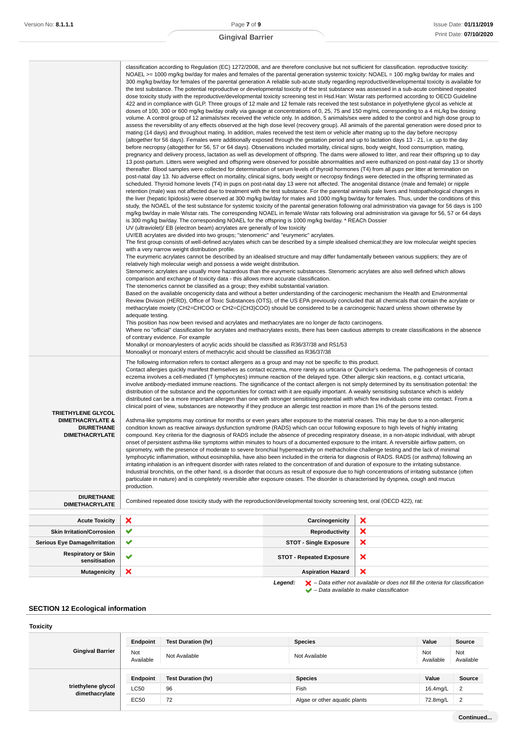|                                                                                                        | classification according to Regulation (EC) 1272/2008, and are therefore conclusive but not sufficient for classification. reproductive toxicity:<br>NOAEL >= 1000 mg/kg bw/day for males and females of the parental generation systemic toxicity: NOAEL = 100 mg/kg bw/day for males and<br>300 mg/kg bw/day for females of the parental generation A reliable sub-acute study regarding reproductive/developmental toxicity is available for<br>the test substance. The potential reproductive or developmental toxicity of the test substance was assessed in a sub-acute combined repeated<br>dose toxicity study with the reproductive/developmental toxicity screening test in Hsd.Han: Wistar rats performed according to OECD Guideline<br>422 and in compliance with GLP. Three groups of 12 male and 12 female rats received the test substance in polyethylene glycol as vehicle at<br>doses of 100, 300 or 600 mg/kg bw/day orally via gavage at concentrations of 0, 25, 75 and 150 mg/mL corresponding to a 4 mL/kg bw dosing<br>volume. A control group of 12 animals/sex received the vehicle only. In addition, 5 animals/sex were added to the control and high dose group to<br>assess the reversibility of any effects observed at the high dose level (recovery group). All animals of the parental generation were dosed prior to<br>mating (14 days) and throughout mating. In addition, males received the test item or vehicle after mating up to the day before necropsy<br>(altogether for 56 days). Females were additionally exposed through the gestation period and up to lactation days 13 - 21, i.e. up to the day<br>before necropsy (altogether for 56, 57 or 64 days). Observations included mortality, clinical signs, body weight, food consumption, mating,<br>pregnancy and delivery process, lactation as well as development of offspring. The dams were allowed to litter, and rear their offspring up to day<br>13 post-partum. Litters were weighed and offspring were observed for possible abnormalities and were euthanized on post-natal day 13 or shortly<br>thereafter. Blood samples were collected for determination of serum levels of thyroid hormones (T4) from all pups per litter at termination on<br>post-natal day 13. No adverse effect on mortality, clinical signs, body weight or necropsy findings were detected in the offspring terminated as<br>scheduled. Thyroid homone levels (T4) in pups on post-natal day 13 were not affected. The anogenital distance (male and female) or nipple<br>retention (male) was not affected due to treatment with the test substance. For the parental animals pale livers and histopathological changes in<br>the liver (hepatic lipidosis) were observed at 300 mg/kg bw/day for males and 1000 mg/kg bw/day for females. Thus, under the conditions of this<br>study, the NOAEL of the test substance for systemic toxicity of the parental generation following oral administration via gavage for 56 days is 100<br>mg/kg bw/day in male Wistar rats. The corresponding NOAEL in female Wistar rats following oral administration via gavage for 56, 57 or 64 days<br>is 300 mg/kg bw/day. The corresponding NOAEL for the offspring is 1000 mg/kg bw/day. * REACh Dossier<br>UV (ultraviolet)/ EB (electron beam) acrylates are generally of low toxicity<br>UV/EB acrylates are divided into two groups; "stenomeric" and "eurymeric" acrylates.<br>The first group consists of well-defined acrylates which can be described by a simple idealised chemical; they are low molecular weight species<br>with a very narrow weight distribution profile.<br>The eurymeric acrylates cannot be described by an idealised structure and may differ fundamentally between various suppliers; they are of<br>relatively high molecular weigh and possess a wide weight distribution.<br>Stenomeric acrylates are usually more hazardous than the eurymeric substances. Stenomeric acrylates are also well defined which allows<br>comparison and exchange of toxicity data - this allows more accurate classification.<br>The stenomerics cannot be classified as a group; they exhibit substantial variation.<br>Based on the available oncogenicity data and without a better understanding of the carcinogenic mechanism the Health and Environmental<br>Review Division (HERD), Office of Toxic Substances (OTS), of the US EPA previously concluded that all chemicals that contain the acrylate or<br>methacrylate moiety (CH2=CHCOO or CH2=C(CH3)COO) should be considered to be a carcinogenic hazard unless shown otherwise by<br>adequate testing.<br>This position has now been revised and acrylates and methacrylates are no longer de facto carcinogens.<br>Where no "official" classification for acrylates and methacrylates exists, there has been cautious attempts to create classifications in the absence<br>of contrary evidence. For example<br>Monalkyl or monoarylesters of acrylic acids should be classified as R36/37/38 and R51/53<br>Monoalkyl or monoaryl esters of methacrylic acid should be classified as R36/37/38 |                                 |   |
|--------------------------------------------------------------------------------------------------------|-----------------------------------------------------------------------------------------------------------------------------------------------------------------------------------------------------------------------------------------------------------------------------------------------------------------------------------------------------------------------------------------------------------------------------------------------------------------------------------------------------------------------------------------------------------------------------------------------------------------------------------------------------------------------------------------------------------------------------------------------------------------------------------------------------------------------------------------------------------------------------------------------------------------------------------------------------------------------------------------------------------------------------------------------------------------------------------------------------------------------------------------------------------------------------------------------------------------------------------------------------------------------------------------------------------------------------------------------------------------------------------------------------------------------------------------------------------------------------------------------------------------------------------------------------------------------------------------------------------------------------------------------------------------------------------------------------------------------------------------------------------------------------------------------------------------------------------------------------------------------------------------------------------------------------------------------------------------------------------------------------------------------------------------------------------------------------------------------------------------------------------------------------------------------------------------------------------------------------------------------------------------------------------------------------------------------------------------------------------------------------------------------------------------------------------------------------------------------------------------------------------------------------------------------------------------------------------------------------------------------------------------------------------------------------------------------------------------------------------------------------------------------------------------------------------------------------------------------------------------------------------------------------------------------------------------------------------------------------------------------------------------------------------------------------------------------------------------------------------------------------------------------------------------------------------------------------------------------------------------------------------------------------------------------------------------------------------------------------------------------------------------------------------------------------------------------------------------------------------------------------------------------------------------------------------------------------------------------------------------------------------------------------------------------------------------------------------------------------------------------------------------------------------------------------------------------------------------------------------------------------------------------------------------------------------------------------------------------------------------------------------------------------------------------------------------------------------------------------------------------------------------------------------------------------------------------------------------------------------------------------------------------------------------------------------------------------------------------------------------------------------------------------------------------------------------------------------------------------------------------------------------------------------------------------------------------------------------------------------------------------------------------------------------------------------------------------------------------------------------------------------------------------------------------------------------------------------------------------------------------------------------------------------------------------------------------------------------------------------------------------------------------------------------------------------------------------------------------------------------------------------------------------------------|---------------------------------|---|
| <b>TRIETHYLENE GLYCOL</b><br><b>DIMETHACRYLATE &amp;</b><br><b>DIURETHANE</b><br><b>DIMETHACRYLATE</b> | The following information refers to contact allergens as a group and may not be specific to this product.<br>Contact allergies quickly manifest themselves as contact eczema, more rarely as urticaria or Quincke's oedema. The pathogenesis of contact<br>eczema involves a cell-mediated (T lymphocytes) immune reaction of the delayed type. Other allergic skin reactions, e.g. contact urticaria,<br>involve antibody-mediated immune reactions. The significance of the contact allergen is not simply determined by its sensitisation potential: the<br>distribution of the substance and the opportunities for contact with it are equally important. A weakly sensitising substance which is widely<br>distributed can be a more important allergen than one with stronger sensitising potential with which few individuals come into contact. From a<br>clinical point of view, substances are noteworthy if they produce an allergic test reaction in more than 1% of the persons tested.<br>Asthma-like symptoms may continue for months or even years after exposure to the material ceases. This may be due to a non-allergenic<br>condition known as reactive airways dysfunction syndrome (RADS) which can occur following exposure to high levels of highly irritating<br>compound. Key criteria for the diagnosis of RADS include the absence of preceding respiratory disease, in a non-atopic individual, with abrupt<br>onset of persistent asthma-like symptoms within minutes to hours of a documented exposure to the irritant. A reversible airflow pattern, on<br>spirometry, with the presence of moderate to severe bronchial hyperreactivity on methacholine challenge testing and the lack of minimal<br>lymphocytic inflammation, without eosinophilia, have also been included in the criteria for diagnosis of RADS. RADS (or asthma) following an<br>irritating inhalation is an infrequent disorder with rates related to the concentration of and duration of exposure to the irritating substance.<br>Industrial bronchitis, on the other hand, is a disorder that occurs as result of exposure due to high concentrations of irritating substance (often<br>particulate in nature) and is completely reversible after exposure ceases. The disorder is characterised by dyspnea, cough and mucus<br>production.                                                                                                                                                                                                                                                                                                                                                                                                                                                                                                                                                                                                                                                                                                                                                                                                                                                                                                                                                                                                                                                                                                                                                                                                                                                                                                                                                                                                                                                                                                                                                                                                                                                                                                                                                                                                                                                                                                                                                                                                                                                                                                                                                                                                                                                                                                                                                                                                                                                                                                                                                                                                                                                                                                                                                                                                           |                                 |   |
| <b>DIURETHANE</b><br><b>DIMETHACRYLATE</b>                                                             | Combined repeated dose toxicity study with the reproduction/developmental toxicity screening test, oral (OECD 422), rat:                                                                                                                                                                                                                                                                                                                                                                                                                                                                                                                                                                                                                                                                                                                                                                                                                                                                                                                                                                                                                                                                                                                                                                                                                                                                                                                                                                                                                                                                                                                                                                                                                                                                                                                                                                                                                                                                                                                                                                                                                                                                                                                                                                                                                                                                                                                                                                                                                                                                                                                                                                                                                                                                                                                                                                                                                                                                                                                                                                                                                                                                                                                                                                                                                                                                                                                                                                                                                                                                                                                                                                                                                                                                                                                                                                                                                                                                                                                                                                                                                                                                                                                                                                                                                                                                                                                                                                                                                                                                                                                                                                                                                                                                                                                                                                                                                                                                                                                                                                                                                                        |                                 |   |
| <b>Acute Toxicity</b>                                                                                  | ×                                                                                                                                                                                                                                                                                                                                                                                                                                                                                                                                                                                                                                                                                                                                                                                                                                                                                                                                                                                                                                                                                                                                                                                                                                                                                                                                                                                                                                                                                                                                                                                                                                                                                                                                                                                                                                                                                                                                                                                                                                                                                                                                                                                                                                                                                                                                                                                                                                                                                                                                                                                                                                                                                                                                                                                                                                                                                                                                                                                                                                                                                                                                                                                                                                                                                                                                                                                                                                                                                                                                                                                                                                                                                                                                                                                                                                                                                                                                                                                                                                                                                                                                                                                                                                                                                                                                                                                                                                                                                                                                                                                                                                                                                                                                                                                                                                                                                                                                                                                                                                                                                                                                                               | Carcinogenicity                 | × |
| <b>Skin Irritation/Corrosion</b>                                                                       | ✔                                                                                                                                                                                                                                                                                                                                                                                                                                                                                                                                                                                                                                                                                                                                                                                                                                                                                                                                                                                                                                                                                                                                                                                                                                                                                                                                                                                                                                                                                                                                                                                                                                                                                                                                                                                                                                                                                                                                                                                                                                                                                                                                                                                                                                                                                                                                                                                                                                                                                                                                                                                                                                                                                                                                                                                                                                                                                                                                                                                                                                                                                                                                                                                                                                                                                                                                                                                                                                                                                                                                                                                                                                                                                                                                                                                                                                                                                                                                                                                                                                                                                                                                                                                                                                                                                                                                                                                                                                                                                                                                                                                                                                                                                                                                                                                                                                                                                                                                                                                                                                                                                                                                                               | <b>Reproductivity</b>           | × |
| <b>Serious Eye Damage/Irritation</b>                                                                   | ✔                                                                                                                                                                                                                                                                                                                                                                                                                                                                                                                                                                                                                                                                                                                                                                                                                                                                                                                                                                                                                                                                                                                                                                                                                                                                                                                                                                                                                                                                                                                                                                                                                                                                                                                                                                                                                                                                                                                                                                                                                                                                                                                                                                                                                                                                                                                                                                                                                                                                                                                                                                                                                                                                                                                                                                                                                                                                                                                                                                                                                                                                                                                                                                                                                                                                                                                                                                                                                                                                                                                                                                                                                                                                                                                                                                                                                                                                                                                                                                                                                                                                                                                                                                                                                                                                                                                                                                                                                                                                                                                                                                                                                                                                                                                                                                                                                                                                                                                                                                                                                                                                                                                                                               | <b>STOT - Single Exposure</b>   | × |
| <b>Respiratory or Skin</b><br>sensitisation                                                            | ✔                                                                                                                                                                                                                                                                                                                                                                                                                                                                                                                                                                                                                                                                                                                                                                                                                                                                                                                                                                                                                                                                                                                                                                                                                                                                                                                                                                                                                                                                                                                                                                                                                                                                                                                                                                                                                                                                                                                                                                                                                                                                                                                                                                                                                                                                                                                                                                                                                                                                                                                                                                                                                                                                                                                                                                                                                                                                                                                                                                                                                                                                                                                                                                                                                                                                                                                                                                                                                                                                                                                                                                                                                                                                                                                                                                                                                                                                                                                                                                                                                                                                                                                                                                                                                                                                                                                                                                                                                                                                                                                                                                                                                                                                                                                                                                                                                                                                                                                                                                                                                                                                                                                                                               | <b>STOT - Repeated Exposure</b> | × |
| <b>Mutagenicity</b>                                                                                    | ×                                                                                                                                                                                                                                                                                                                                                                                                                                                                                                                                                                                                                                                                                                                                                                                                                                                                                                                                                                                                                                                                                                                                                                                                                                                                                                                                                                                                                                                                                                                                                                                                                                                                                                                                                                                                                                                                                                                                                                                                                                                                                                                                                                                                                                                                                                                                                                                                                                                                                                                                                                                                                                                                                                                                                                                                                                                                                                                                                                                                                                                                                                                                                                                                                                                                                                                                                                                                                                                                                                                                                                                                                                                                                                                                                                                                                                                                                                                                                                                                                                                                                                                                                                                                                                                                                                                                                                                                                                                                                                                                                                                                                                                                                                                                                                                                                                                                                                                                                                                                                                                                                                                                                               | <b>Aspiration Hazard</b>        | × |

**Legend:**  $\mathbf{X}$  – Data either not available or does not fill the criteria for classification – Data available to make classification

# **SECTION 12 Ecological information**

| Endpoint         | <b>Test Duration (hr)</b> | <b>Species</b> | Value                         | Source           |
|------------------|---------------------------|----------------|-------------------------------|------------------|
| Not<br>Available | Not Available             | Not Available  | Not<br>Available              | Not<br>Available |
| Endpoint         | <b>Test Duration (hr)</b> | <b>Species</b> | Value                         | Source           |
| <b>LC50</b>      | 96                        | Fish           | 16.4mg/L                      | $\overline{2}$   |
| <b>EC50</b>      | 72                        |                | 72.8mg/L                      | 2                |
|                  |                           |                | Algae or other aquatic plants |                  |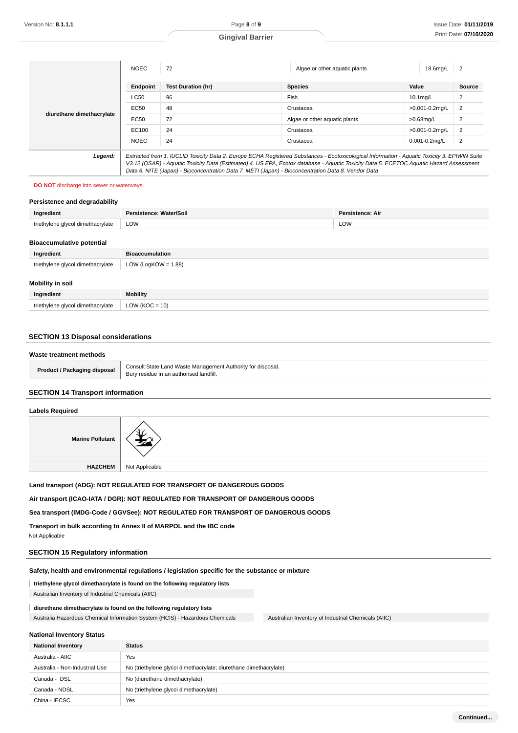|                           | <b>NOEC</b> | 72                                                                                                  | Algae or other aquatic plants                                                                                                                                                                                                                                                            | 18.6mg/L           | $\overline{2}$ |
|---------------------------|-------------|-----------------------------------------------------------------------------------------------------|------------------------------------------------------------------------------------------------------------------------------------------------------------------------------------------------------------------------------------------------------------------------------------------|--------------------|----------------|
|                           | Endpoint    | <b>Test Duration (hr)</b>                                                                           | <b>Species</b>                                                                                                                                                                                                                                                                           | Value              | <b>Source</b>  |
| diurethane dimethacrylate | <b>LC50</b> | 96                                                                                                  | Fish                                                                                                                                                                                                                                                                                     | 10.1mg/L           | $\overline{2}$ |
|                           | EC50        | 48                                                                                                  | Crustacea                                                                                                                                                                                                                                                                                | >0.001-0.2mg/L     | $\overline{2}$ |
|                           | EC50        | 72                                                                                                  | Algae or other aquatic plants                                                                                                                                                                                                                                                            | >0.68mg/L          | $\overline{2}$ |
|                           | EC100       | 24                                                                                                  | Crustacea                                                                                                                                                                                                                                                                                | >0.001-0.2mg/L     | $\overline{2}$ |
|                           | <b>NOEC</b> | 24                                                                                                  | Crustacea                                                                                                                                                                                                                                                                                | $0.001 - 0.2$ mg/L | $\overline{2}$ |
| Legend:                   |             | Data 6. NITE (Japan) - Bioconcentration Data 7. METI (Japan) - Bioconcentration Data 8. Vendor Data | Extracted from 1. IUCLID Toxicity Data 2. Europe ECHA Registered Substances - Ecotoxicological Information - Aquatic Toxicity 3. EPIWIN Suite<br>V3.12 (QSAR) - Aquatic Toxicity Data (Estimated) 4. US EPA, Ecotox database - Aquatic Toxicity Data 5. ECETOC Aquatic Hazard Assessment |                    |                |

# **DO NOT** discharge into sewer or waterways.

### **Persistence and degradability**

| Ingredient                      | . .<br>Water/Soil | stence: Air<br>Dar. |
|---------------------------------|-------------------|---------------------|
| ' dimethacrvlate<br>triathylana | <b>LOW</b>        | LOW                 |

### **Bioaccumulative potential**

| Ingredient                        | <b>Bioaccumulation</b> |
|-----------------------------------|------------------------|
| triethylene glycol dimethacrylate | LOW (LogKOW = $1.88$ ) |
| Mobility in soil                  |                        |
| Ingredient                        | Mobility               |

# **SECTION 13 Disposal considerations**

triethylene glycol dimethacrylate  $\vert$  LOW (KOC = 10)

#### **Waste treatment methods**

| ∣ disposal<br><i>t I</i> Packaging<br>Product, | Consul <sup>+</sup><br>* disposal.<br>l Wasto Managamant<br>$***$<br>i ith∩rit∨ t<br>one<br>⊀ landfill.<br>Bun<br>$\sim$ outbus<br>ın<br>ء الصحيح ا<br>n<br>$\sim$ |
|------------------------------------------------|--------------------------------------------------------------------------------------------------------------------------------------------------------------------|
|                                                |                                                                                                                                                                    |

### **SECTION 14 Transport information**

### **Labels Required**



**Land transport (ADG): NOT REGULATED FOR TRANSPORT OF DANGEROUS GOODS**

**Air transport (ICAO-IATA / DGR): NOT REGULATED FOR TRANSPORT OF DANGEROUS GOODS**

**Sea transport (IMDG-Code / GGVSee): NOT REGULATED FOR TRANSPORT OF DANGEROUS GOODS**

**Transport in bulk according to Annex II of MARPOL and the IBC code**

Not Applicable

# **SECTION 15 Regulatory information**

**Safety, health and environmental regulations / legislation specific for the substance or mixture**

**triethylene glycol dimethacrylate is found on the following regulatory lists**

Australian Inventory of Industrial Chemicals (AIIC)

# **diurethane dimethacrylate is found on the following regulatory lists**

Australia Hazardous Chemical Information System (HCIS) - Hazardous Chemicals Australian Inventory of Industrial Chemicals (AIIC)

### **National Inventory Status**

| <b>National Inventory</b>      | <b>Status</b>                                                     |
|--------------------------------|-------------------------------------------------------------------|
| Australia - AIIC               | Yes                                                               |
| Australia - Non-Industrial Use | No (triethylene glycol dimethacrylate; diurethane dimethacrylate) |
| Canada - DSL                   | No (diurethane dimethacrylate)                                    |
| Canada - NDSL                  | No (triethylene glycol dimethacrylate)                            |
| China - IECSC                  | Yes                                                               |